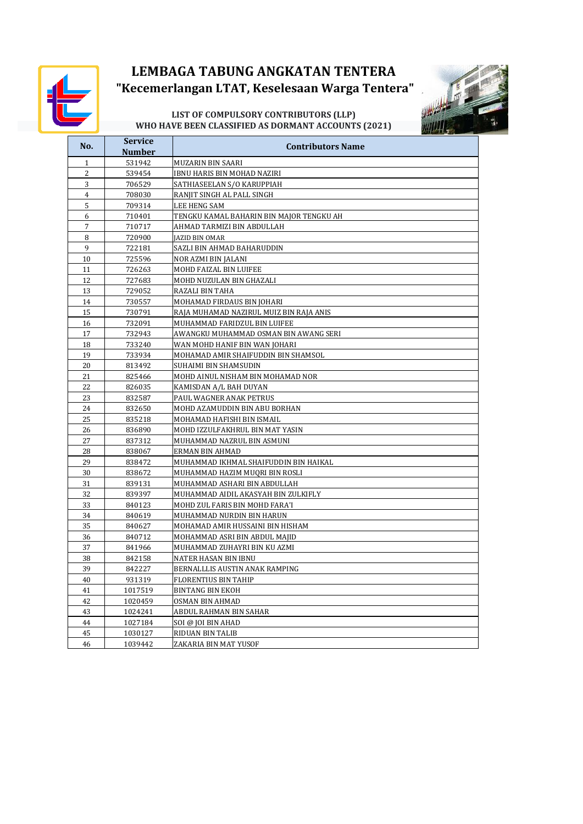

# **LEMBAGA TABUNG ANGKATAN TENTERA "Kecemerlangan LTAT, Keselesaan Warga Tentera"**



#### **LIST OF COMPULSORY CONTRIBUTORS (LLP) WHO HAVE BEEN CLASSIFIED AS DORMANT ACCOUNTS (2021)**

| No.            | <b>Service</b>   |                                          |
|----------------|------------------|------------------------------------------|
|                | Number           | <b>Contributors Name</b>                 |
| $\mathbf{1}$   | 531942           | MUZARIN BIN SAARI                        |
| $\overline{2}$ | 539454           | IBNU HARIS BIN MOHAD NAZIRI              |
| 3              | 706529           | SATHIASEELAN S/O KARUPPIAH               |
| $\overline{4}$ | 708030           | RANJIT SINGH AL PALL SINGH               |
| 5              | 709314           | LEE HENG SAM                             |
| 6              | 710401           | TENGKU KAMAL BAHARIN BIN MAJOR TENGKU AH |
| 7              | 710717           | AHMAD TARMIZI BIN ABDULLAH               |
| 8              | 720900           | JAZID BIN OMAR                           |
| 9              | 722181           | SAZLI BIN AHMAD BAHARUDDIN               |
| 10             | 725596           | NOR AZMI BIN JALANI                      |
| 11             | 726263           | MOHD FAIZAL BIN LUIFEE                   |
| 12             | 727683           | MOHD NUZULAN BIN GHAZALI                 |
| 13             | 729052           | RAZALI BIN TAHA                          |
| 14             | 730557           | MOHAMAD FIRDAUS BIN JOHARI               |
| 15             | 730791           | RAJA MUHAMAD NAZIRUL MUIZ BIN RAJA ANIS  |
| 16             | 732091           | MUHAMMAD FARIDZUL BIN LUIFEE             |
| 17             | 732943           | AWANGKU MUHAMMAD OSMAN BIN AWANG SERI    |
| 18             | 733240           | WAN MOHD HANIF BIN WAN JOHARI            |
| 19             |                  |                                          |
| 20             | 733934<br>813492 | MOHAMAD AMIR SHAIFUDDIN BIN SHAMSOL      |
|                |                  | SUHAIMI BIN SHAMSUDIN                    |
| 21             | 825466           | MOHD AINUL NISHAM BIN MOHAMAD NOR        |
| 22             | 826035           | KAMISDAN A/L BAH DUYAN                   |
| 23             | 832587           | PAUL WAGNER ANAK PETRUS                  |
| 24             | 832650           | MOHD AZAMUDDIN BIN ABU BORHAN            |
| 25             | 835218           | MOHAMAD HAFISHI BIN ISMAIL               |
| 26             | 836890           | MOHD IZZULFAKHRUL BIN MAT YASIN          |
| 27             | 837312           | MUHAMMAD NAZRUL BIN ASMUNI               |
| 28             | 838067           | ERMAN BIN AHMAD                          |
| 29             | 838472           | MUHAMMAD IKHMAL SHAIFUDDIN BIN HAIKAL    |
| 30             | 838672           | MUHAMMAD HAZIM MUQRI BIN ROSLI           |
| 31             | 839131           | MUHAMMAD ASHARI BIN ABDULLAH             |
| 32             | 839397           | MUHAMMAD AIDIL AKASYAH BIN ZULKIFLY      |
| 33             | 840123           | MOHD ZUL FARIS BIN MOHD FARA'I           |
| 34             | 840619           | MUHAMMAD NURDIN BIN HARUN                |
| 35             | 840627           | MOHAMAD AMIR HUSSAINI BIN HISHAM         |
| 36             | 840712           | MOHAMMAD ASRI BIN ABDUL MAJID            |
| 37             | 841966           | MUHAMMAD ZUHAYRI BIN KU AZMI             |
| 38             | 842158           | NATER HASAN BIN IBNU                     |
| 39             | 842227           | BERNALLLIS AUSTIN ANAK RAMPING           |
| 40             | 931319           | <b>FLORENTIUS BIN TAHIP</b>              |
| 41             | 1017519          | <b>BINTANG BIN EKOH</b>                  |
| 42             | 1020459          | OSMAN BIN AHMAD                          |
| 43             | 1024241          | ABDUL RAHMAN BIN SAHAR                   |
| 44             | 1027184          | SOI @ JOI BIN AHAD                       |
| 45             | 1030127          | RIDUAN BIN TALIB                         |
| 46             | 1039442          | ZAKARIA BIN MAT YUSOF                    |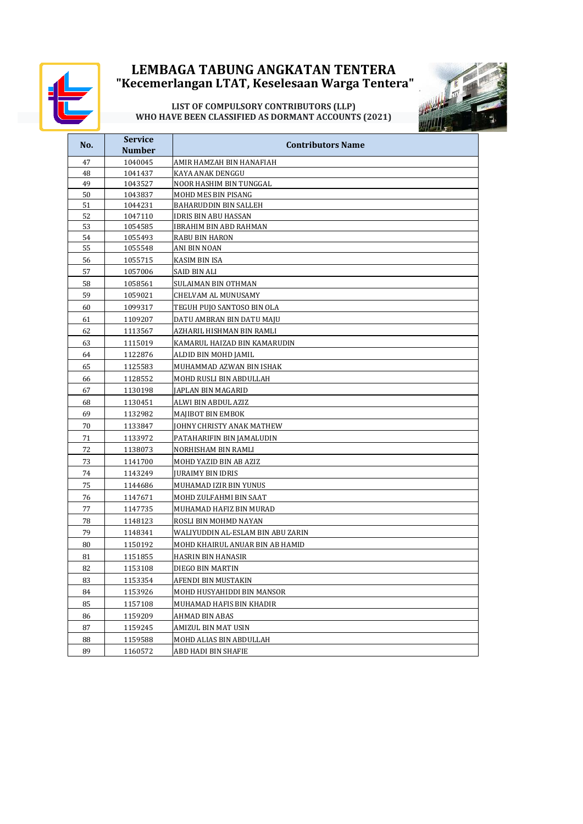

## **LEMBAGA TABUNG ANGKATAN TENTERA "Kecemerlangan LTAT, Keselesaan Warga Tentera"**

#### **LIST OF COMPULSORY CONTRIBUTORS (LLP) WHO HAVE BEEN CLASSIFIED AS DORMANT ACCOUNTS (2021)**



| No.      | <b>Service</b>     | <b>Contributors Name</b>          |
|----------|--------------------|-----------------------------------|
|          | <b>Number</b>      |                                   |
| 47       | 1040045            | AMIR HAMZAH BIN HANAFIAH          |
| 48       | 1041437            | KAYA ANAK DENGGU                  |
| 49       | 1043527            | NOOR HASHIM BIN TUNGGAL           |
| 50       | 1043837            | MOHD MES BIN PISANG               |
| 51       | 1044231            | BAHARUDDIN BIN SALLEH             |
| 52       | 1047110            | IDRIS BIN ABU HASSAN              |
| 53       | 1054585            | IBRAHIM BIN ABD RAHMAN            |
| 54<br>55 | 1055493<br>1055548 | RABU BIN HARON<br>ANI BIN NOAN    |
| 56       | 1055715            | <b>KASIM BIN ISA</b>              |
|          |                    |                                   |
| 57       | 1057006            | SAID BIN ALI                      |
| 58       | 1058561            | SULAIMAN BIN OTHMAN               |
| 59       | 1059021            | CHELVAM AL MUNUSAMY               |
| 60       | 1099317            | TEGUH PUJO SANTOSO BIN OLA        |
| 61       | 1109207            | DATU AMBRAN BIN DATU MAJU         |
| 62       | 1113567            | AZHARIL HISHMAN BIN RAMLI         |
| 63       | 1115019            | KAMARUL HAIZAD BIN KAMARUDIN      |
| 64       | 1122876            | ALDID BIN MOHD JAMIL              |
| 65       | 1125583            | MUHAMMAD AZWAN BIN ISHAK          |
| 66       | 1128552            | MOHD RUSLI BIN ABDULLAH           |
| 67       | 1130198            | JAPLAN BIN MAGARID                |
| 68       | 1130451            | ALWI BIN ABDUL AZIZ               |
| 69       | 1132982            | MAJIBOT BIN EMBOK                 |
| 70       | 1133847            | JOHNY CHRISTY ANAK MATHEW         |
| 71       | 1133972            | PATAHARIFIN BIN JAMALUDIN         |
| 72       | 1138073            | NORHISHAM BIN RAMLI               |
| 73       | 1141700            | MOHD YAZID BIN AB AZIZ            |
| 74       | 1143249            | <b>JURAIMY BIN IDRIS</b>          |
| 75       | 1144686            | MUHAMAD IZIR BIN YUNUS            |
| 76       | 1147671            | MOHD ZULFAHMI BIN SAAT            |
| 77       | 1147735            | MUHAMAD HAFIZ BIN MURAD           |
| 78       | 1148123            | ROSLI BIN MOHMD NAYAN             |
| 79       | 1148341            | WALIYUDDIN AL-ESLAM BIN ABU ZARIN |
| 80       | 1150192            | MOHD KHAIRUL ANUAR BIN AB HAMID   |
| 81       | 1151855            | HASRIN BIN HANASIR                |
| 82       | 1153108            | DIEGO BIN MARTIN                  |
| 83       | 1153354            | AFENDI BIN MUSTAKIN               |
| 84       | 1153926            | MOHD HUSYAHIDDI BIN MANSOR        |
| 85       | 1157108            |                                   |
|          | 1159209            | MUHAMAD HAFIS BIN KHADIR          |
| 86       |                    | AHMAD BIN ABAS                    |
| 87       | 1159245            | AMIZUL BIN MAT USIN               |
| 88       | 1159588            | MOHD ALIAS BIN ABDULLAH           |
| 89       | 1160572            | ABD HADI BIN SHAFIE               |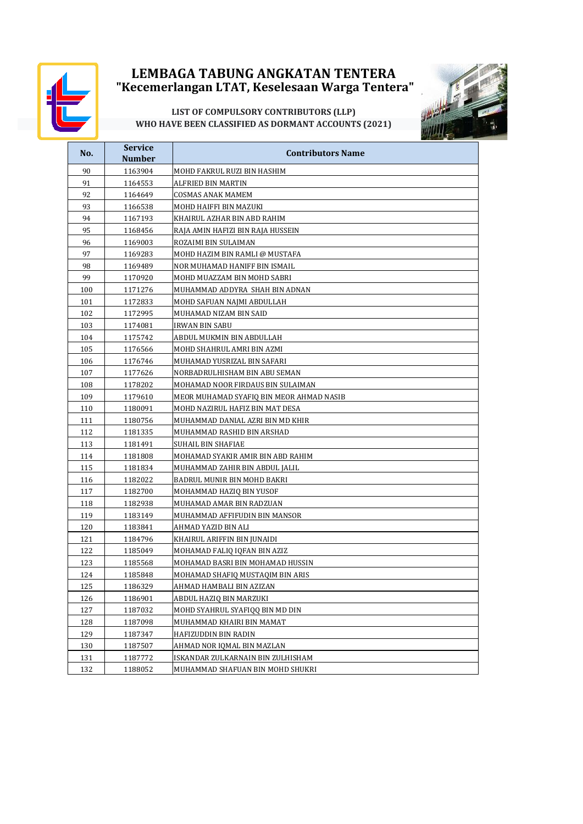

# **"Kecemerlangan LTAT, Keselesaan Warga Tentera" LEMBAGA TABUNG ANGKATAN TENTERA**



### **LIST OF COMPULSORY CONTRIBUTORS (LLP) WHO HAVE BEEN CLASSIFIED AS DORMANT ACCOUNTS (2021)**

| No.      | <b>Service</b>     | <b>Contributors Name</b>                               |
|----------|--------------------|--------------------------------------------------------|
|          | <b>Number</b>      |                                                        |
| 90       | 1163904            | MOHD FAKRUL RUZI BIN HASHIM                            |
| 91       | 1164553            | ALFRIED BIN MARTIN                                     |
| 92       | 1164649            | COSMAS ANAK MAMEM                                      |
| 93       | 1166538            | MOHD HAIFFI BIN MAZUKI                                 |
| 94<br>95 | 1167193            | KHAIRUL AZHAR BIN ABD RAHIM                            |
|          | 1168456            | RAJA AMIN HAFIZI BIN RAJA HUSSEIN                      |
| 96<br>97 | 1169003<br>1169283 | ROZAIMI BIN SULAIMAN<br>MOHD HAZIM BIN RAMLI @ MUSTAFA |
| 98       | 1169489            | NOR MUHAMAD HANIFF BIN ISMAIL                          |
| 99       | 1170920            | MOHD MUAZZAM BIN MOHD SABRI                            |
| 100      | 1171276            | MUHAMMAD ADDYRA SHAH BIN ADNAN                         |
| 101      | 1172833            | MOHD SAFUAN NAJMI ABDULLAH                             |
| 102      | 1172995            | MUHAMAD NIZAM BIN SAID                                 |
| 103      | 1174081            | IRWAN BIN SABU                                         |
| 104      | 1175742            | ABDUL MUKMIN BIN ABDULLAH                              |
| 105      | 1176566            | MOHD SHAHRUL AMRI BIN AZMI                             |
| 106      | 1176746            | MUHAMAD YUSRIZAL BIN SAFARI                            |
| 107      | 1177626            | NORBADRULHISHAM BIN ABU SEMAN                          |
| 108      | 1178202            | MOHAMAD NOOR FIRDAUS BIN SULAIMAN                      |
| 109      | 1179610            | MEOR MUHAMAD SYAFIQ BIN MEOR AHMAD NASIB               |
| 110      | 1180091            | MOHD NAZIRUL HAFIZ BIN MAT DESA                        |
| 111      | 1180756            | MUHAMMAD DANIAL AZRI BIN MD KHIR                       |
| 112      | 1181335            | MUHAMMAD RASHID BIN ARSHAD                             |
| 113      | 1181491            | SUHAIL BIN SHAFIAE                                     |
| 114      | 1181808            | MOHAMAD SYAKIR AMIR BIN ABD RAHIM                      |
| 115      | 1181834            | MUHAMMAD ZAHIR BIN ABDUL JALIL                         |
| 116      | 1182022            | BADRUL MUNIR BIN MOHD BAKRI                            |
| 117      | 1182700            | MOHAMMAD HAZIQ BIN YUSOF                               |
| 118      | 1182938            | MUHAMAD AMAR BIN RADZUAN                               |
| 119      | 1183149            | MUHAMMAD AFFIFUDIN BIN MANSOR                          |
| 120      | 1183841            | AHMAD YAZID BIN ALI                                    |
| 121      | 1184796            | KHAIRUL ARIFFIN BIN JUNAIDI                            |
| 122      | 1185049            | MOHAMAD FALIQ IQFAN BIN AZIZ                           |
| 123      | 1185568            | MOHAMAD BASRI BIN MOHAMAD HUSSIN                       |
| 124      | 1185848            | MOHAMAD SHAFIQ MUSTAQIM BIN ARIS                       |
| 125      | 1186329            | AHMAD HAMBALI BIN AZIZAN                               |
| 126      | 1186901            | ABDUL HAZIQ BIN MARZUKI                                |
| 127      | 1187032            | MOHD SYAHRUL SYAFIQQ BIN MD DIN                        |
| 128      | 1187098            | MUHAMMAD KHAIRI BIN MAMAT                              |
| 129      | 1187347            | HAFIZUDDIN BIN RADIN                                   |
| 130      | 1187507            | AHMAD NOR IQMAL BIN MAZLAN                             |
| 131      | 1187772            | ISKANDAR ZULKARNAIN BIN ZULHISHAM                      |
| 132      | 1188052            | MUHAMMAD SHAFUAN BIN MOHD SHUKRI                       |